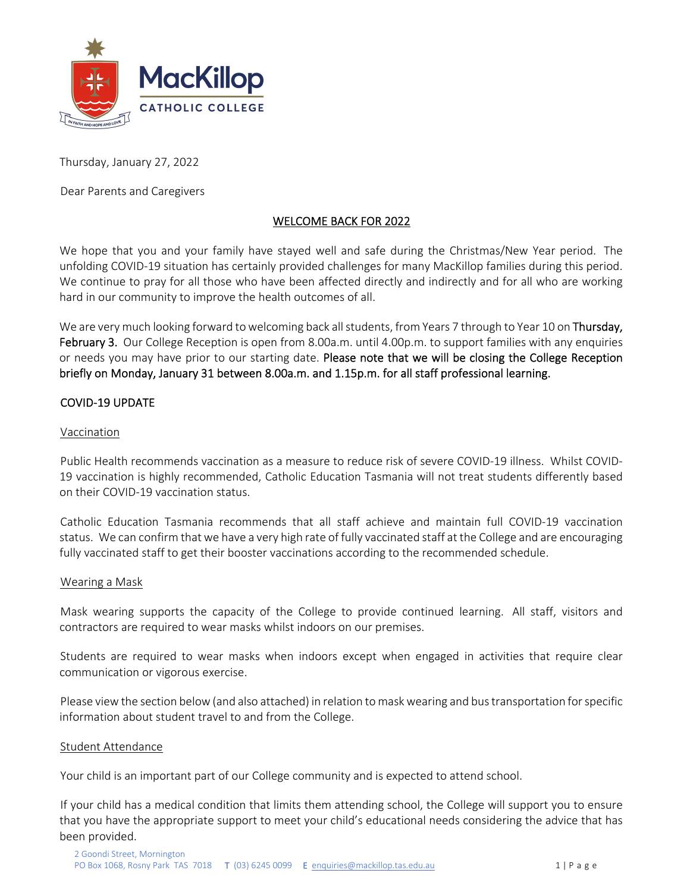

Thursday, January 27, 2022

Dear Parents and Caregivers

# WELCOME BACK FOR 2022

We hope that you and your family have stayed well and safe during the Christmas/New Year period. The unfolding COVID‐19 situation has certainly provided challenges for many MacKillop families during this period. We continue to pray for all those who have been affected directly and indirectly and for all who are working hard in our community to improve the health outcomes of all.

We are very much looking forward to welcoming back all students, from Years 7 through to Year 10 on Thursday, February 3. Our College Reception is open from 8.00a.m. until 4.00p.m. to support families with any enquiries or needs you may have prior to our starting date. Please note that we will be closing the College Reception briefly on Monday, January 31 between 8.00a.m. and 1.15p.m. for all staff professional learning.

# COVID‐19 UPDATE

# Vaccination

Public Health recommends vaccination as a measure to reduce risk of severe COVID‐19 illness. Whilst COVID‐ 19 vaccination is highly recommended, Catholic Education Tasmania will not treat students differently based on their COVID‐19 vaccination status.

Catholic Education Tasmania recommends that all staff achieve and maintain full COVID‐19 vaccination status. We can confirm that we have a very high rate of fully vaccinated staff at the College and are encouraging fully vaccinated staff to get their booster vaccinations according to the recommended schedule.

# Wearing a Mask

Mask wearing supports the capacity of the College to provide continued learning. All staff, visitors and contractors are required to wear masks whilst indoors on our premises.

Students are required to wear masks when indoors except when engaged in activities that require clear communication or vigorous exercise.

Please viewthe section below(and also attached) in relation to maskwearing and bustransportation forspecific information about student travel to and from the College.

# Student Attendance

Your child is an important part of our College community and is expected to attend school.

If your child has a medical condition that limits them attending school, the College will support you to ensure that you have the appropriate support to meet your child's educational needs considering the advice that has been provided.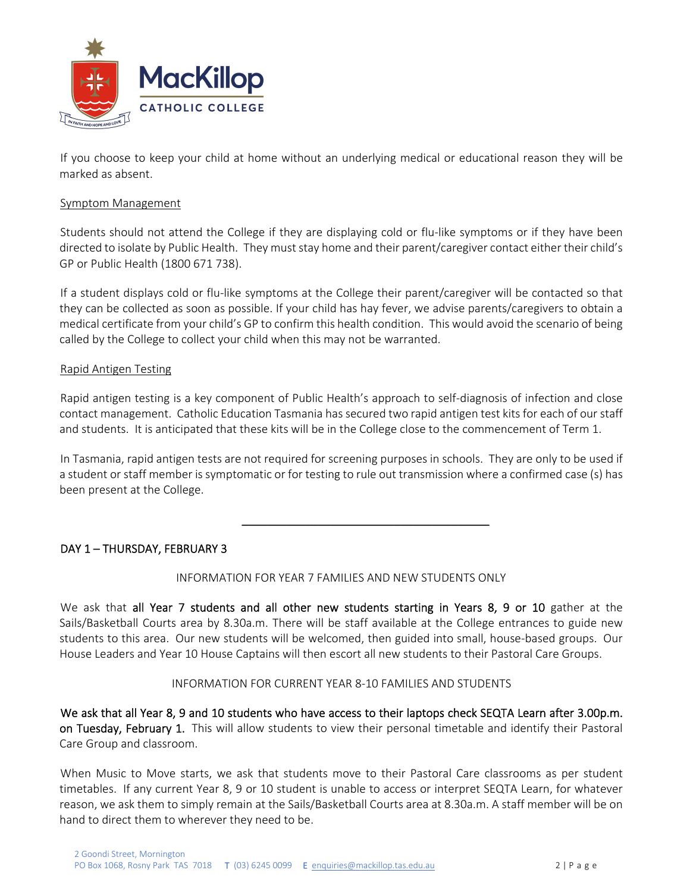

If you choose to keep your child at home without an underlying medical or educational reason they will be marked as absent.

#### Symptom Management

Students should not attend the College if they are displaying cold or flu‐like symptoms or if they have been directed to isolate by Public Health. They must stay home and their parent/caregiver contact either their child's GP or Public Health (1800 671 738).

If a student displays cold or flu‐like symptoms at the College their parent/caregiver will be contacted so that they can be collected as soon as possible. If your child has hay fever, we advise parents/caregivers to obtain a medical certificate from your child's GP to confirm this health condition. This would avoid the scenario of being called by the College to collect your child when this may not be warranted.

#### Rapid Antigen Testing

Rapid antigen testing is a key component of Public Health's approach to self‐diagnosis of infection and close contact management. Catholic Education Tasmania has secured two rapid antigen test kits for each of our staff and students. It is anticipated that these kits will be in the College close to the commencement of Term 1.

In Tasmania, rapid antigen tests are not required for screening purposes in schools. They are only to be used if a student or staff member is symptomatic or for testing to rule out transmission where a confirmed case (s) has been present at the College.

 $\frac{1}{\sqrt{2}}$  , and the contract of the contract of the contract of the contract of the contract of the contract of the contract of the contract of the contract of the contract of the contract of the contract of the contra

# DAY 1 – THURSDAY, FEBRUARY 3

# INFORMATION FOR YEAR 7 FAMILIES AND NEW STUDENTS ONLY

We ask that all Year 7 students and all other new students starting in Years 8, 9 or 10 gather at the Sails/Basketball Courts area by 8.30a.m. There will be staff available at the College entrances to guide new students to this area. Our new students will be welcomed, then guided into small, house‐based groups. Our House Leaders and Year 10 House Captains will then escort all new students to their Pastoral Care Groups.

# INFORMATION FOR CURRENT YEAR 8‐10 FAMILIES AND STUDENTS

We ask that all Year 8, 9 and 10 students who have access to their laptops check SEQTA Learn after 3.00p.m. on Tuesday, February 1. This will allow students to view their personal timetable and identify their Pastoral Care Group and classroom.

When Music to Move starts, we ask that students move to their Pastoral Care classrooms as per student timetables. If any current Year 8, 9 or 10 student is unable to access or interpret SEQTA Learn, for whatever reason, we ask them to simply remain at the Sails/Basketball Courts area at 8.30a.m. A staff member will be on hand to direct them to wherever they need to be.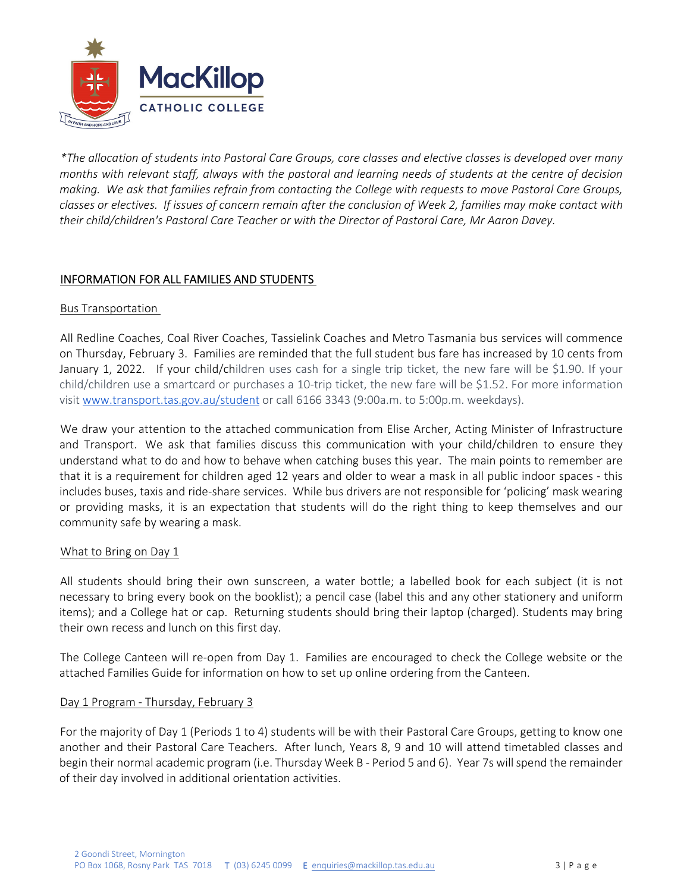

\*The allocation of students into Pastoral Care Groups, core classes and elective classes is developed over many months with relevant staff, always with the pastoral and learning needs of students at the centre of decision making. We ask that families refrain from contacting the College with requests to move Pastoral Care Groups, classes or electives. If issues of concern remain after the conclusion of Week 2, families may make contact with *their child/children's Pastoral Care Teacher or with the Director of Pastoral Care, Mr Aaron Davey.* 

# INFORMATION FOR ALL FAMILIES AND STUDENTS

#### Bus Transportation

All Redline Coaches, Coal River Coaches, Tassielink Coaches and Metro Tasmania bus services will commence on Thursday, February 3. Families are reminded that the full student bus fare has increased by 10 cents from January 1, 2022. If your child/children uses cash for a single trip ticket, the new fare will be \$1.90. If your child/children use a smartcard or purchases a 10‐trip ticket, the new fare will be \$1.52. For more information visit www.transport.tas.gov.au/student or call 6166 3343 (9:00a.m. to 5:00p.m. weekdays).

We draw your attention to the attached communication from Elise Archer, Acting Minister of Infrastructure and Transport. We ask that families discuss this communication with your child/children to ensure they understand what to do and how to behave when catching buses this year. The main points to remember are that it is a requirement for children aged 12 years and older to wear a mask in all public indoor spaces ‐ this includes buses, taxis and ride‐share services. While bus drivers are not responsible for 'policing' mask wearing or providing masks, it is an expectation that students will do the right thing to keep themselves and our community safe by wearing a mask.

# What to Bring on Day 1

All students should bring their own sunscreen, a water bottle; a labelled book for each subject (it is not necessary to bring every book on the booklist); a pencil case (label this and any other stationery and uniform items); and a College hat or cap. Returning students should bring their laptop (charged). Students may bring their own recess and lunch on this first day.

The College Canteen will re-open from Day 1. Families are encouraged to check the College website or the attached Families Guide for information on how to set up online ordering from the Canteen.

# Day 1 Program ‐ Thursday, February 3

For the majority of Day 1 (Periods 1 to 4) students will be with their Pastoral Care Groups, getting to know one another and their Pastoral Care Teachers. After lunch, Years 8, 9 and 10 will attend timetabled classes and begin their normal academic program (i.e. Thursday Week B ‐ Period 5 and 6). Year 7s willspend the remainder of their day involved in additional orientation activities.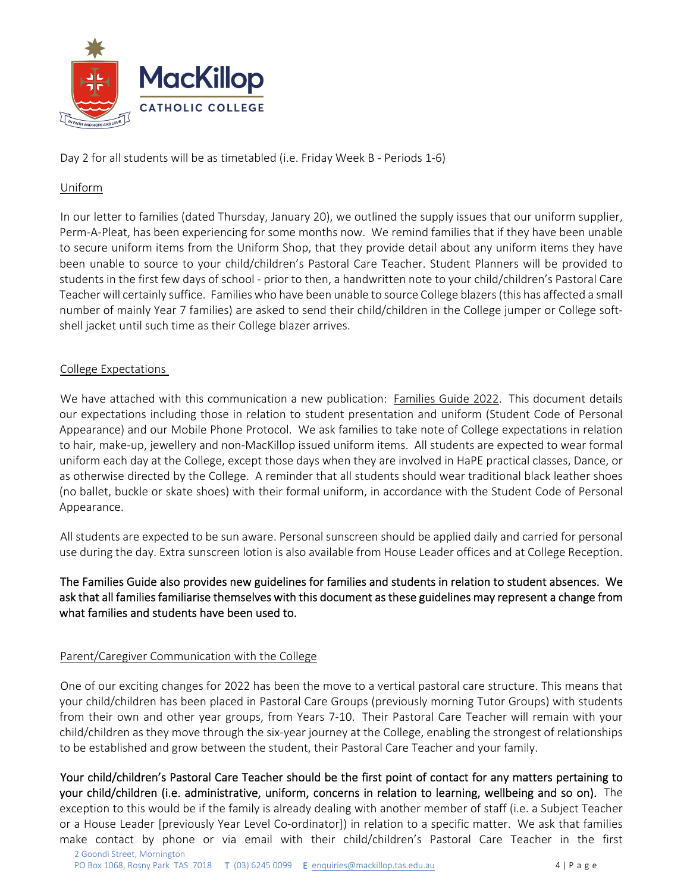

Day 2 for all students will be as timetabled (i.e. Friday Week B - Periods 1-6)

# Uniform

In our letter to families (dated Thursday, January 20), we outlined the supply issues that our uniform supplier, Perm‐A‐Pleat, has been experiencing for some months now. We remind families that if they have been unable to secure uniform items from the Uniform Shop, that they provide detail about any uniform items they have been unable to source to your child/children's Pastoral Care Teacher. Student Planners will be provided to students in the first few days of school ‐ prior to then, a handwritten note to your child/children's Pastoral Care Teacher will certainly suffice. Families who have been unable to source College blazers(this has affected a small number of mainly Year 7 families) are asked to send their child/children in the College jumper or College soft‐ shell jacket until such time as their College blazer arrives.

# College Expectations

We have attached with this communication a new publication: Families Guide 2022. This document details our expectations including those in relation to student presentation and uniform (Student Code of Personal Appearance) and our Mobile Phone Protocol. We ask families to take note of College expectations in relation to hair, make‐up, jewellery and non‐MacKillop issued uniform items. All students are expected to wear formal uniform each day at the College, except those days when they are involved in HaPE practical classes, Dance, or as otherwise directed by the College. A reminder that all students should wear traditional black leather shoes (no ballet, buckle or skate shoes) with their formal uniform, in accordance with the Student Code of Personal Appearance.

All students are expected to be sun aware. Personal sunscreen should be applied daily and carried for personal use during the day. Extra sunscreen lotion is also available from House Leader offices and at College Reception.

The Families Guide also provides new guidelines for families and students in relation to student absences. We ask that all families familiarise themselves with this document as these guidelines may represent a change from what families and students have been used to.

# Parent/Caregiver Communication with the College

One of our exciting changes for 2022 has been the move to a vertical pastoral care structure. This means that your child/children has been placed in Pastoral Care Groups (previously morning Tutor Groups) with students from their own and other year groups, from Years 7‐10. Their Pastoral Care Teacher will remain with your child/children as they move through the six‐year journey at the College, enabling the strongest of relationships to be established and grow between the student, their Pastoral Care Teacher and your family.

Your child/children's Pastoral Care Teacher should be the first point of contact for any matters pertaining to your child/children (i.e. administrative, uniform, concerns in relation to learning, wellbeing and so on). The exception to this would be if the family is already dealing with another member of staff (i.e. a Subject Teacher or a House Leader [previously Year Level Co‐ordinator]) in relation to a specific matter. We ask that families make contact by phone or via email with their child/children's Pastoral Care Teacher in the first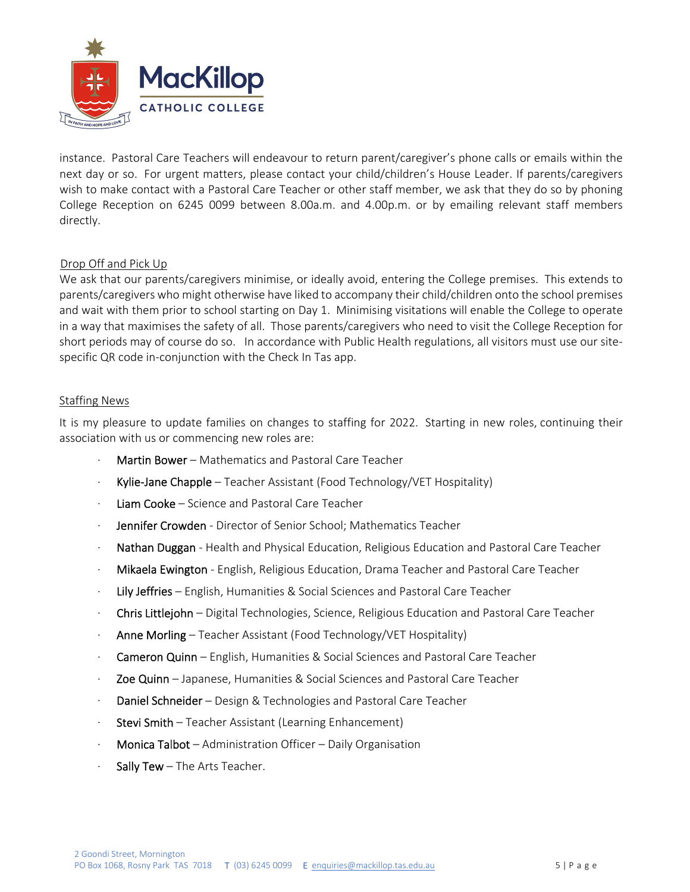

instance. Pastoral Care Teachers will endeavour to return parent/caregiver's phone calls or emails within the next day or so. For urgent matters, please contact your child/children's House Leader. If parents/caregivers wish to make contact with a Pastoral Care Teacher or other staff member, we ask that they do so by phoning College Reception on 6245 0099 between 8.00a.m. and 4.00p.m. or by emailing relevant staff members directly.

# Drop Off and Pick Up

We ask that our parents/caregivers minimise, or ideally avoid, entering the College premises. This extends to parents/caregivers who might otherwise have liked to accompany their child/children onto the school premises and wait with them prior to school starting on Day 1. Minimising visitations will enable the College to operate in a way that maximises the safety of all. Those parents/caregivers who need to visit the College Reception for short periods may of course do so. In accordance with Public Health regulations, all visitors must use our sitespecific QR code in-conjunction with the Check In Tas app.

# Staffing News

It is my pleasure to update families on changes to staffing for 2022. Starting in new roles, continuing their association with us or commencing new roles are:

- ∙ Martin Bower Mathematics and Pastoral Care Teacher
- Kylie-Jane Chapple Teacher Assistant (Food Technology/∨ET Hospitality)
- ∙ Liam Cooke Science and Pastoral Care Teacher
- Jennifer Crowden Director of Senior School; Mathematics Teacher
- ∙ Nathan Duggan ‐ Health and Physical Education, Religious Education and Pastoral Care Teacher
- ∙ Mikaela Ewington ‐ English, Religious Education, Drama Teacher and Pastoral Care Teacher
- ∙ Lily Jeffries English, Humanities & Social Sciences and Pastoral Care Teacher
- ∙ Chris Littlejohn Digital Technologies, Science, Religious Education and Pastoral Care Teacher
- ∙ Anne Morling Teacher Assistant (Food Technology/VET Hospitality)
- ∙ Cameron Quinn English, Humanities & Social Sciences and Pastoral Care Teacher
- ∙ Zoe Quinn Japanese, Humanities & Social Sciences and Pastoral Care Teacher
- ∙ Daniel Schneider Design & Technologies and Pastoral Care Teacher
- ∙ Stevi Smith Teacher Assistant (Learning Enhancement)
- ∙ Monica Talbot Administration Officer Daily Organisation
- Sally Tew The Arts Teacher.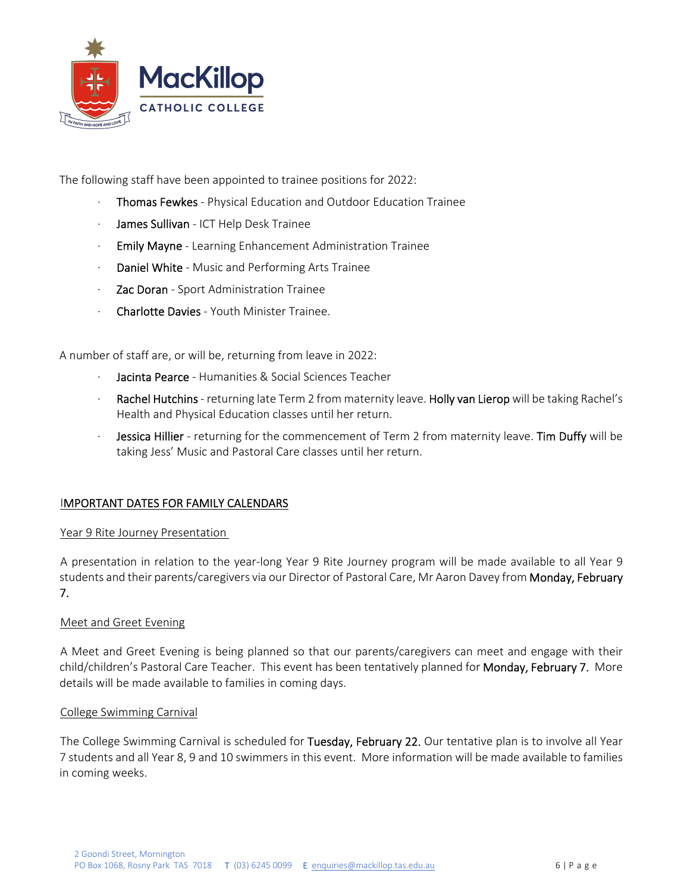

The following staff have been appointed to trainee positions for 2022:

- ∙ Thomas Fewkes ‐ Physical Education and Outdoor Education Trainee
- ∙ James Sullivan ‐ ICT Help Desk Trainee
- ∙ Emily Mayne ‐ Learning Enhancement Administration Trainee
- ∙ Daniel White ‐ Music and Performing Arts Trainee
- ∙ Zac Doran ‐ Sport Administration Trainee
- ∙ Charlotte Davies ‐ Youth Minister Trainee.

A number of staff are, or will be, returning from leave in 2022:

- Jacinta Pearce Humanities & Social Sciences Teacher
- Rachel Hutchins returning late Term 2 from maternity leave. Holly van Lierop will be taking Rachel's Health and Physical Education classes until her return.
- Jessica Hillier returning for the commencement of Term 2 from maternity leave. Tim Duffy will be taking Jess' Music and Pastoral Care classes until her return.

# IMPORTANT DATES FOR FAMILY CALENDARS

# Year 9 Rite Journey Presentation

A presentation in relation to the year‐long Year 9 Rite Journey program will be made available to all Year 9 students and their parents/caregivers via our Director of Pastoral Care, Mr Aaron Davey from **Monday, February** 7.

# Meet and Greet Evening

A Meet and Greet Evening is being planned so that our parents/caregivers can meet and engage with their child/children's Pastoral Care Teacher. This event has been tentatively planned for **Monday, February 7.** More details will be made available to families in coming days.

#### College Swimming Carnival

The College Swimming Carnival is scheduled for Tuesday, February 22. Our tentative plan is to involve all Year 7 students and all Year 8, 9 and 10 swimmers in this event. More information will be made available to families in coming weeks.